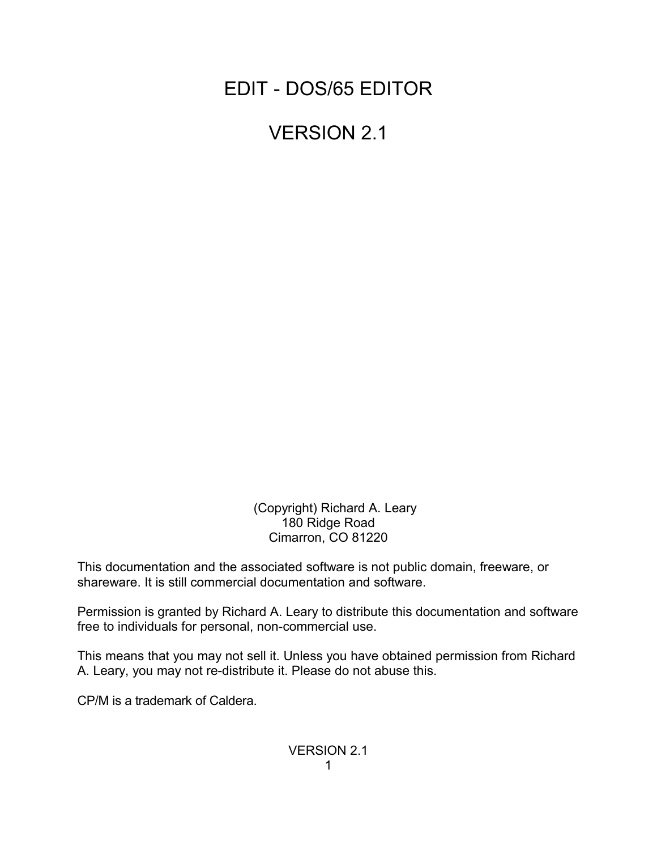EDIT - DOS/65 EDITOR

VERSION 2.1

 (Copyright) Richard A. Leary 180 Ridge Road Cimarron, CO 81220

This documentation and the associated software is not public domain, freeware, or shareware. It is still commercial documentation and software.

Permission is granted by Richard A. Leary to distribute this documentation and software free to individuals for personal, non-commercial use.

This means that you may not sell it. Unless you have obtained permission from Richard A. Leary, you may not re-distribute it. Please do not abuse this.

CP/M is a trademark of Caldera.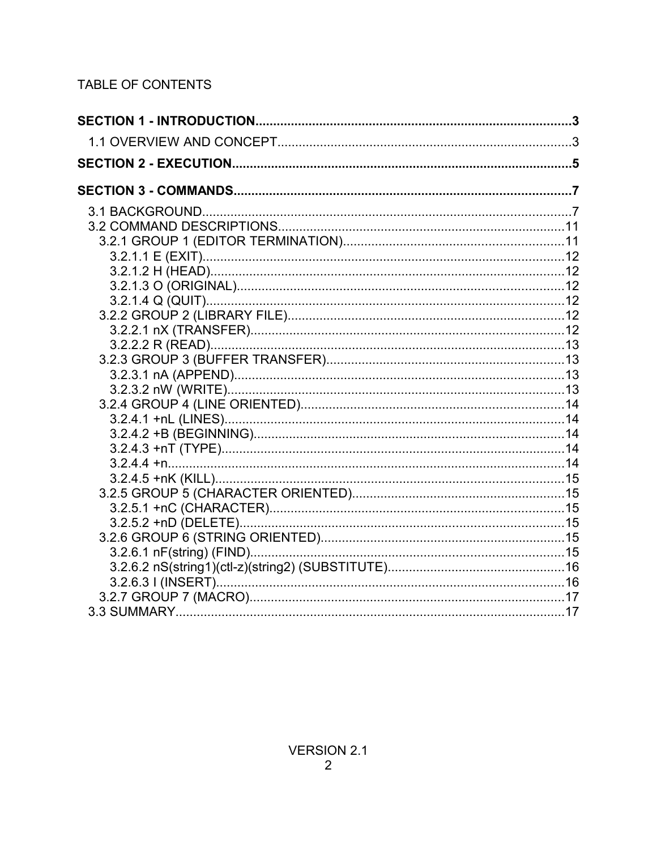# TABLE OF CONTENTS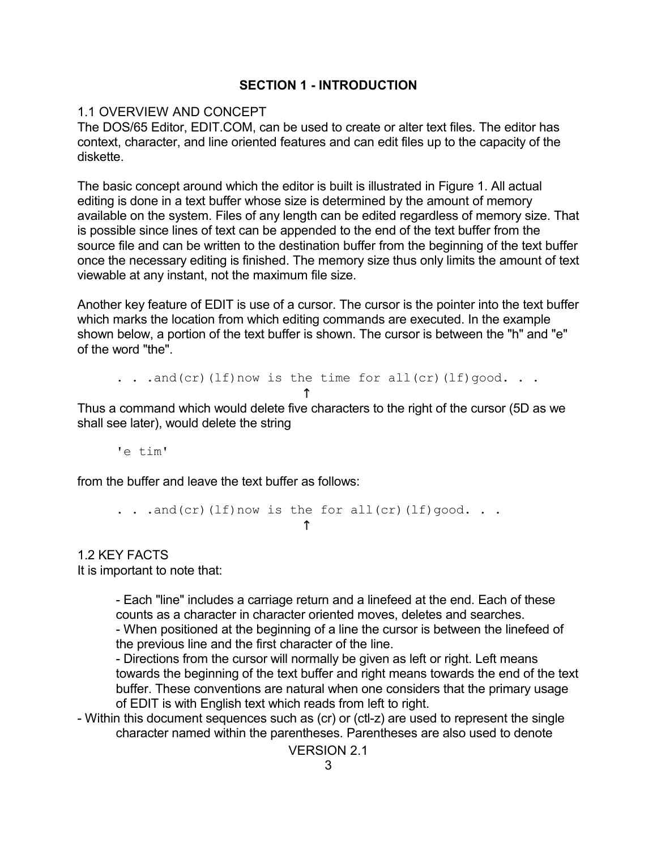### **SECTION 1 - INTRODUCTION**

### 1.1 OVERVIEW AND CONCEPT

The DOS/65 Editor, EDIT.COM, can be used to create or alter text files. The editor has context, character, and line oriented features and can edit files up to the capacity of the diskette.

The basic concept around which the editor is built is illustrated in Figure 1. All actual editing is done in a text buffer whose size is determined by the amount of memory available on the system. Files of any length can be edited regardless of memory size. That is possible since lines of text can be appended to the end of the text buffer from the source file and can be written to the destination buffer from the beginning of the text buffer once the necessary editing is finished. The memory size thus only limits the amount of text viewable at any instant, not the maximum file size.

Another key feature of EDIT is use of a cursor. The cursor is the pointer into the text buffer which marks the location from which editing commands are executed. In the example shown below, a portion of the text buffer is shown. The cursor is between the "h" and "e" of the word "the".

. . .and(cr)(lf)now is the time for all(cr)(lf)good. . .

 $\uparrow$ Thus a command which would delete five characters to the right of the cursor (5D as we shall see later), would delete the string

'e tim'

from the buffer and leave the text buffer as follows:

```
. . .and(cr)(lf)now is the for all(cr)(lf)qood. . .
\uparrow
```
1.2 KEY FACTS It is important to note that:

> - Each "line" includes a carriage return and a linefeed at the end. Each of these counts as a character in character oriented moves, deletes and searches.

- When positioned at the beginning of a line the cursor is between the linefeed of the previous line and the first character of the line.

- Directions from the cursor will normally be given as left or right. Left means towards the beginning of the text buffer and right means towards the end of the text buffer. These conventions are natural when one considers that the primary usage of EDIT is with English text which reads from left to right.

- Within this document sequences such as (cr) or (ctl-z) are used to represent the single character named within the parentheses. Parentheses are also used to denote

VERSION 2.1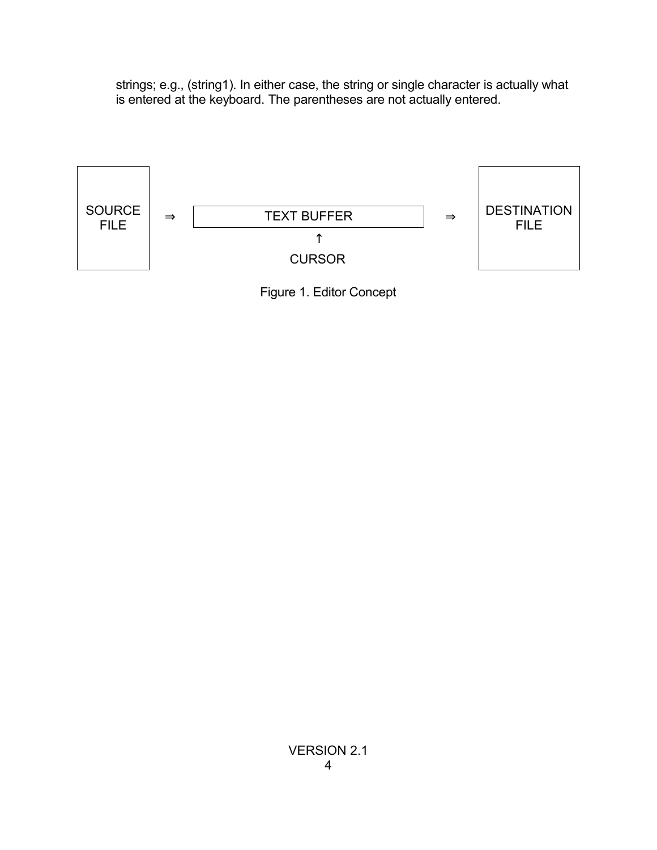strings; e.g., (string1). In either case, the string or single character is actually what is entered at the keyboard. The parentheses are not actually entered.



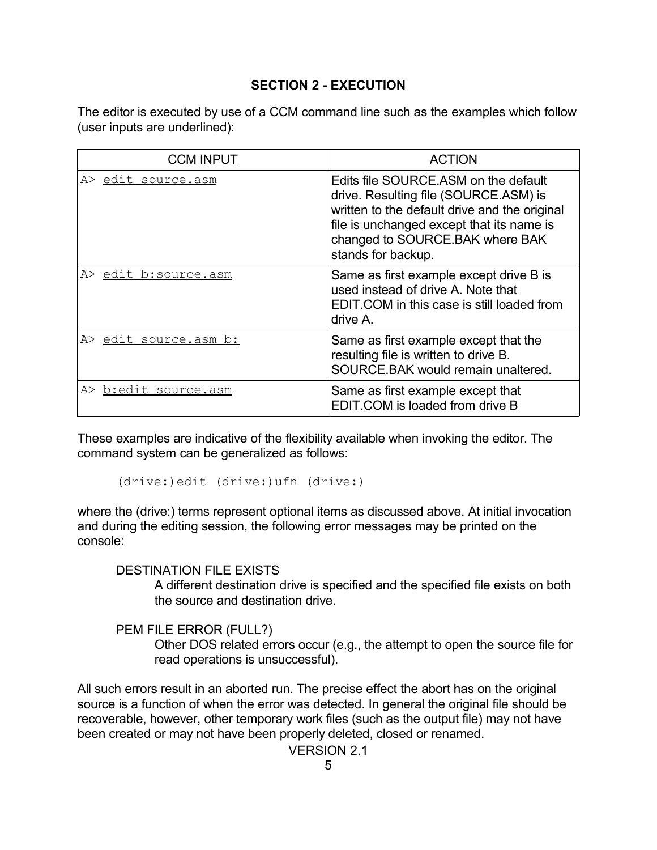### **SECTION 2 - EXECUTION**

The editor is executed by use of a CCM command line such as the examples which follow (user inputs are underlined):

| <b>CCM INPUT</b>      | <b>ACTION</b>                                                                                                                                                                                                                         |
|-----------------------|---------------------------------------------------------------------------------------------------------------------------------------------------------------------------------------------------------------------------------------|
| A> edit source.asm    | Edits file SOURCE, ASM on the default<br>drive. Resulting file (SOURCE.ASM) is<br>written to the default drive and the original<br>file is unchanged except that its name is<br>changed to SOURCE.BAK where BAK<br>stands for backup. |
| A> edit b:source.asm  | Same as first example except drive B is<br>used instead of drive A. Note that<br>EDIT COM in this case is still loaded from<br>drive A.                                                                                               |
| A> edit source.asm b: | Same as first example except that the<br>resulting file is written to drive B.<br>SOURCE BAK would remain unaltered.                                                                                                                  |
| A> b:edit source.asm  | Same as first example except that<br>EDIT.COM is loaded from drive B                                                                                                                                                                  |

These examples are indicative of the flexibility available when invoking the editor. The command system can be generalized as follows:

(drive:)edit (drive:)ufn (drive:)

where the (drive:) terms represent optional items as discussed above. At initial invocation and during the editing session, the following error messages may be printed on the console:

DESTINATION FILE EXISTS

A different destination drive is specified and the specified file exists on both the source and destination drive.

PEM FILE ERROR (FULL?)

Other DOS related errors occur (e.g., the attempt to open the source file for read operations is unsuccessful).

All such errors result in an aborted run. The precise effect the abort has on the original source is a function of when the error was detected. In general the original file should be recoverable, however, other temporary work files (such as the output file) may not have been created or may not have been properly deleted, closed or renamed.

VERSION 2.1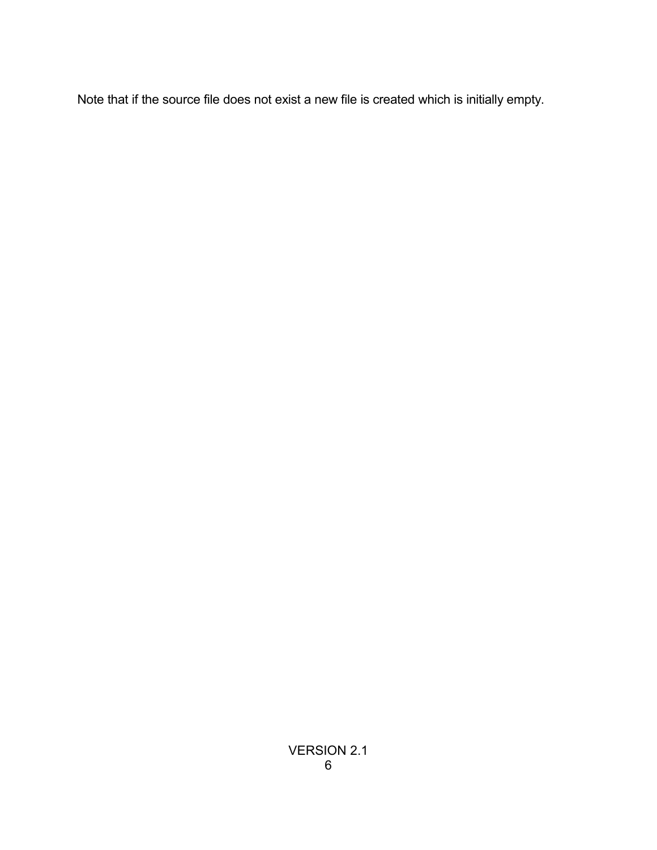Note that if the source file does not exist a new file is created which is initially empty.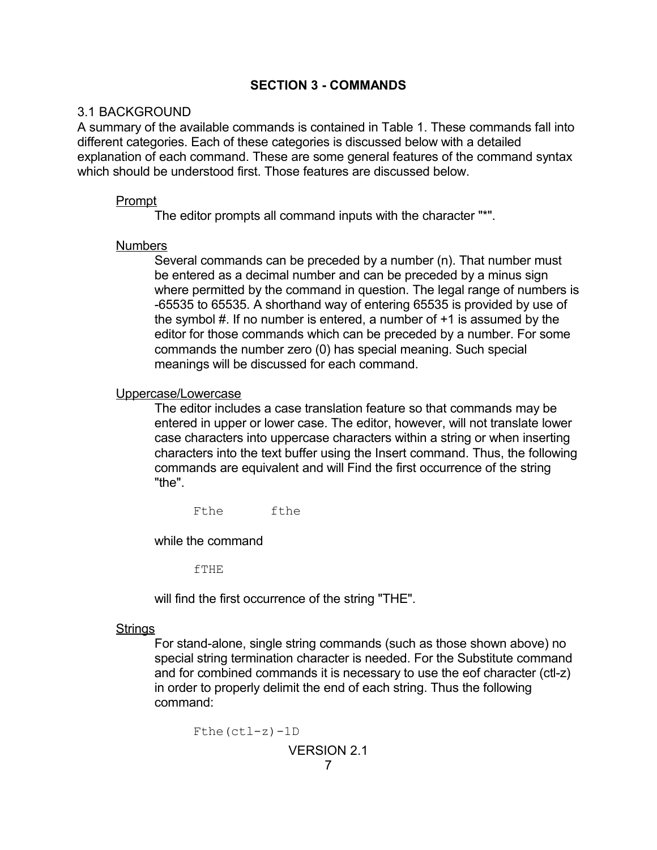### **SECTION 3 - COMMANDS**

### 3.1 BACKGROUND

A summary of the available commands is contained in Table 1. These commands fall into different categories. Each of these categories is discussed below with a detailed explanation of each command. These are some general features of the command syntax which should be understood first. Those features are discussed below.

### Prompt

The editor prompts all command inputs with the character "\*".

### Numbers

Several commands can be preceded by a number (n). That number must be entered as a decimal number and can be preceded by a minus sign where permitted by the command in question. The legal range of numbers is -65535 to 65535. A shorthand way of entering 65535 is provided by use of the symbol #. If no number is entered, a number of +1 is assumed by the editor for those commands which can be preceded by a number. For some commands the number zero (0) has special meaning. Such special meanings will be discussed for each command.

#### Uppercase/Lowercase

The editor includes a case translation feature so that commands may be entered in upper or lower case. The editor, however, will not translate lower case characters into uppercase characters within a string or when inserting characters into the text buffer using the Insert command. Thus, the following commands are equivalent and will Find the first occurrence of the string "the".

Fthe fthe

while the command

fTHE

will find the first occurrence of the string "THE".

#### **Strings**

For stand-alone, single string commands (such as those shown above) no special string termination character is needed. For the Substitute command and for combined commands it is necessary to use the eof character (ctl-z) in order to properly delimit the end of each string. Thus the following command:

```
Fthe(ctl-z)-1D
             VERSION 2.1
                  7
```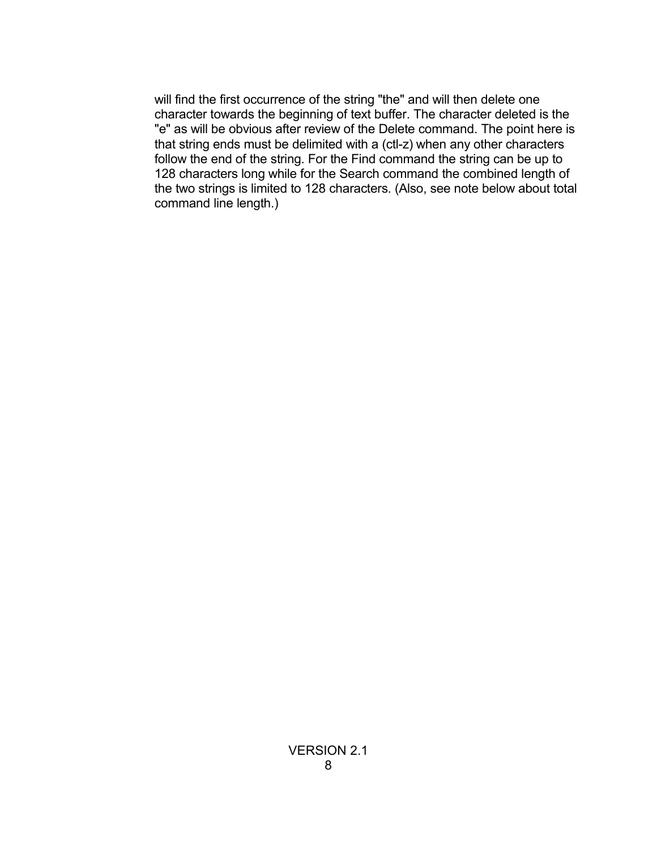will find the first occurrence of the string "the" and will then delete one character towards the beginning of text buffer. The character deleted is the "e" as will be obvious after review of the Delete command. The point here is that string ends must be delimited with a (ctl-z) when any other characters follow the end of the string. For the Find command the string can be up to 128 characters long while for the Search command the combined length of the two strings is limited to 128 characters. (Also, see note below about total command line length.)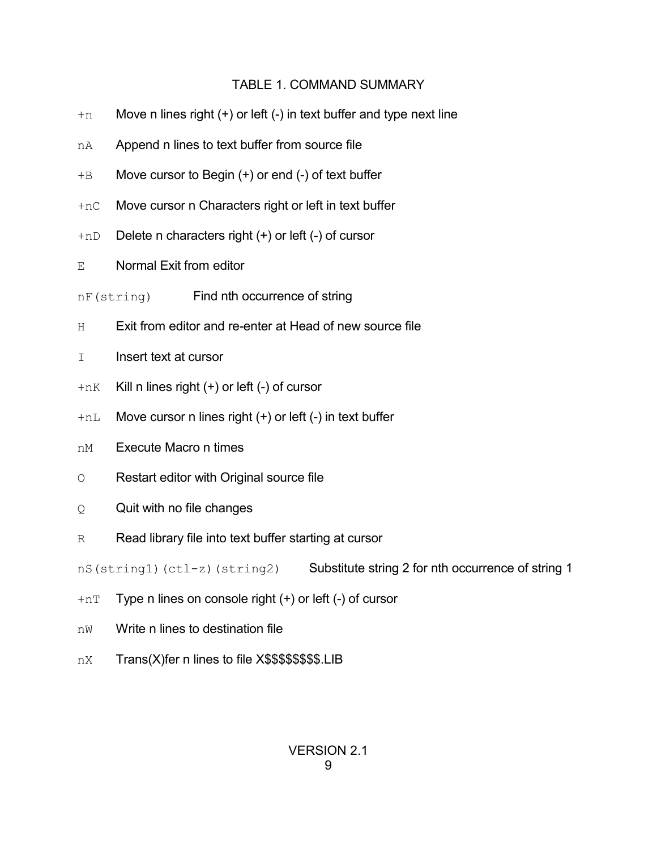## TABLE 1. COMMAND SUMMARY

- $+n$  Move n lines right  $(+)$  or left  $(-)$  in text buffer and type next line
- nA Append n lines to text buffer from source file
- +B Move cursor to Begin (+) or end (-) of text buffer
- +nC Move cursor n Characters right or left in text buffer
- $+$ nD Delete n characters right  $(+)$  or left  $(-)$  of cursor
- E Normal Exit from editor
- nF(string) Find nth occurrence of string
- H Exit from editor and re-enter at Head of new source file
- I lnsert text at cursor
- $+nK$  Kill n lines right  $(+)$  or left  $(-)$  of cursor
- $+nL$  Move cursor n lines right  $(+)$  or left  $(-)$  in text buffer
- nM Execute Macro n times
- O Restart editor with Original source file
- Q Quit with no file changes
- R Read library file into text buffer starting at cursor

nS(string1)(ctl-z)(string2) Substitute string 2 for nth occurrence of string 1

- $+nT$  Type n lines on console right  $(+)$  or left  $(-)$  of cursor
- nW Write n lines to destination file
- nX Trans(X)fer n lines to file X\$\$\$\$\$\$\$\$.LIB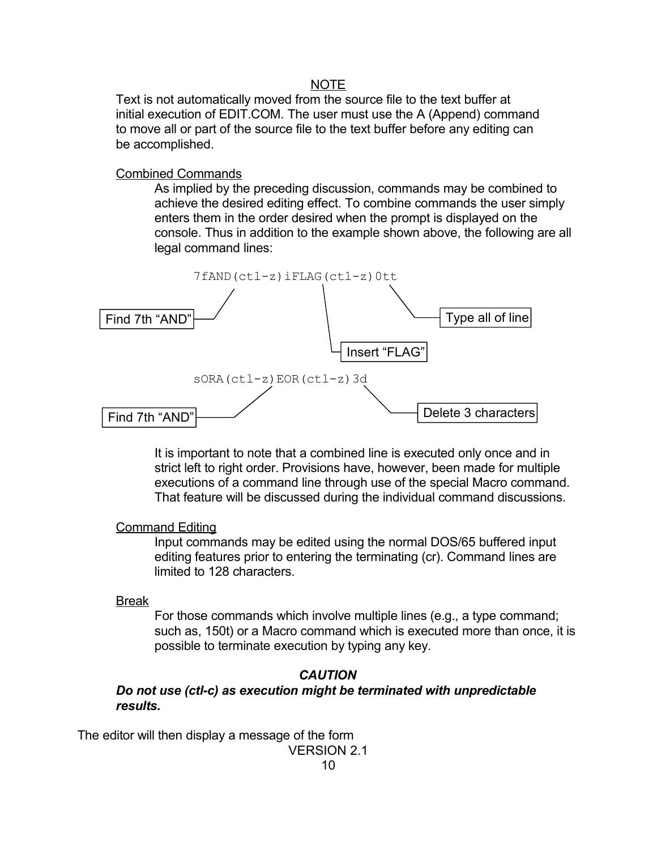#### NOTE

Text is not automatically moved from the source file to the text buffer at initial execution of EDIT.COM. The user must use the A (Append) command to move all or part of the source file to the text buffer before any editing can be accomplished.

#### Combined Commands

As implied by the preceding discussion, commands may be combined to achieve the desired editing effect. To combine commands the user simply enters them in the order desired when the prompt is displayed on the console. Thus in addition to the example shown above, the following are all legal command lines:



It is important to note that a combined line is executed only once and in strict left to right order. Provisions have, however, been made for multiple executions of a command line through use of the special Macro command. That feature will be discussed during the individual command discussions.

### Command Editing

Input commands may be edited using the normal DOS/65 buffered input editing features prior to entering the terminating (cr). Command lines are limited to 128 characters.

#### Break

For those commands which involve multiple lines (e.g., a type command; such as, 150t) or a Macro command which is executed more than once, it is possible to terminate execution by typing any key.

### *CAUTION*

*Do not use (ctl-c) as execution might be terminated with unpredictable results.*

The editor will then display a message of the form

VERSION 2.1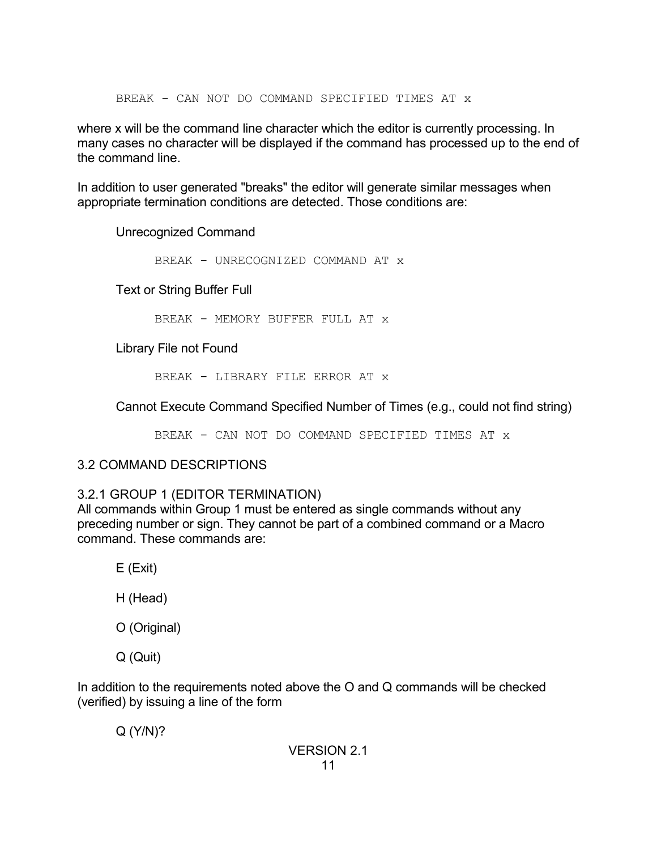BREAK - CAN NOT DO COMMAND SPECIFIED TIMES AT x

where x will be the command line character which the editor is currently processing. In many cases no character will be displayed if the command has processed up to the end of the command line.

In addition to user generated "breaks" the editor will generate similar messages when appropriate termination conditions are detected. Those conditions are:

Unrecognized Command

BREAK - UNRECOGNIZED COMMAND AT x

Text or String Buffer Full

BREAK - MEMORY BUFFER FULL AT x

Library File not Found

BREAK - LIBRARY FILE ERROR AT x

Cannot Execute Command Specified Number of Times (e.g., could not find string)

BREAK - CAN NOT DO COMMAND SPECIFIED TIMES AT x

## 3.2 COMMAND DESCRIPTIONS

## 3.2.1 GROUP 1 (EDITOR TERMINATION)

All commands within Group 1 must be entered as single commands without any preceding number or sign. They cannot be part of a combined command or a Macro command. These commands are:

E (Exit)

H (Head)

O (Original)

Q (Quit)

In addition to the requirements noted above the O and Q commands will be checked (verified) by issuing a line of the form

Q (Y/N)?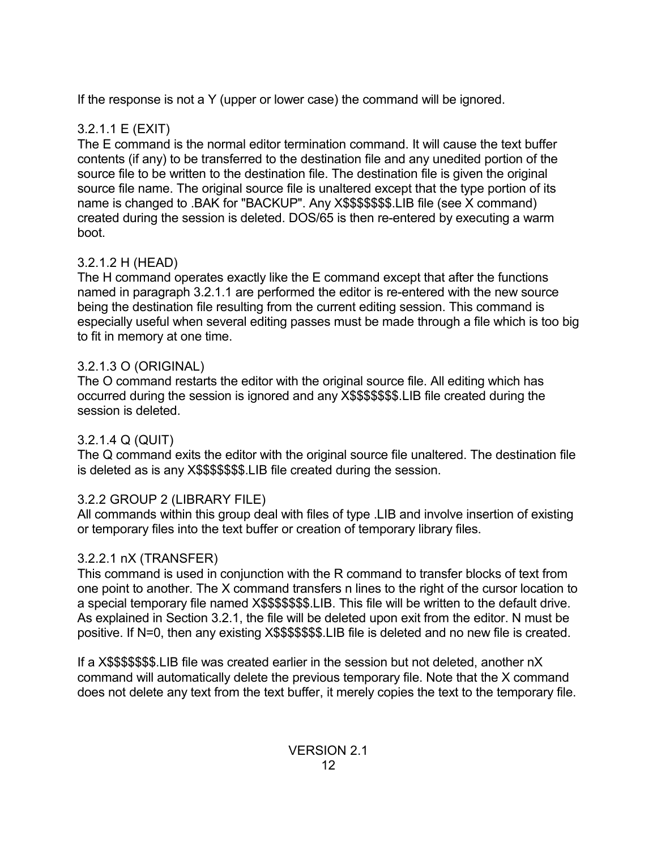If the response is not a Y (upper or lower case) the command will be ignored.

# 3.2.1.1 E (EXIT)

The E command is the normal editor termination command. It will cause the text buffer contents (if any) to be transferred to the destination file and any unedited portion of the source file to be written to the destination file. The destination file is given the original source file name. The original source file is unaltered except that the type portion of its name is changed to .BAK for "BACKUP". Any X\$\$\$\$\$\$\$.LIB file (see X command) created during the session is deleted. DOS/65 is then re-entered by executing a warm boot.

# 3.2.1.2 H (HEAD)

The H command operates exactly like the E command except that after the functions named in paragraph 3.2.1.1 are performed the editor is re-entered with the new source being the destination file resulting from the current editing session. This command is especially useful when several editing passes must be made through a file which is too big to fit in memory at one time.

# 3.2.1.3 O (ORIGINAL)

The O command restarts the editor with the original source file. All editing which has occurred during the session is ignored and any X\$\$\$\$\$\$\$.LIB file created during the session is deleted.

# 3.2.1.4 Q (QUIT)

The Q command exits the editor with the original source file unaltered. The destination file is deleted as is any X\$\$\$\$\$\$\$.LIB file created during the session.

# 3.2.2 GROUP 2 (LIBRARY FILE)

All commands within this group deal with files of type .LIB and involve insertion of existing or temporary files into the text buffer or creation of temporary library files.

# 3.2.2.1 nX (TRANSFER)

This command is used in conjunction with the R command to transfer blocks of text from one point to another. The X command transfers n lines to the right of the cursor location to a special temporary file named X\$\$\$\$\$\$\$.LIB. This file will be written to the default drive. As explained in Section 3.2.1, the file will be deleted upon exit from the editor. N must be positive. If N=0, then any existing X\$\$\$\$\$\$\$.LIB file is deleted and no new file is created.

If a X\$\$\$\$\$\$\$.LIB file was created earlier in the session but not deleted, another nX command will automatically delete the previous temporary file. Note that the X command does not delete any text from the text buffer, it merely copies the text to the temporary file.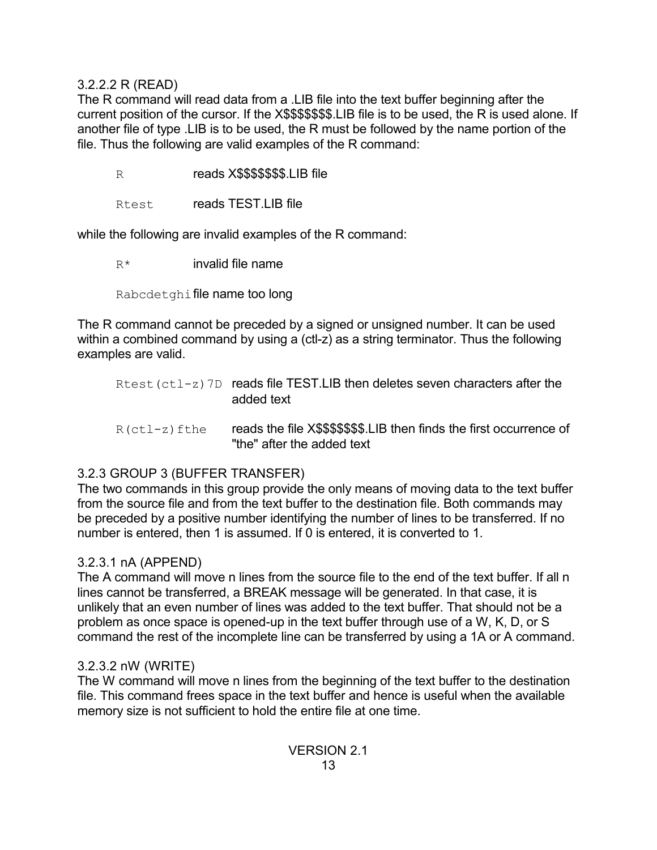### 3.2.2.2 R (READ)

The R command will read data from a .LIB file into the text buffer beginning after the current position of the cursor. If the X\$\$\$\$\$\$\$.LIB file is to be used, the R is used alone. If another file of type .LIB is to be used, the R must be followed by the name portion of the file. Thus the following are valid examples of the R command:

R reads X\$\$\$\$\$\$\$\$.LIB file

Rtest reads TEST.LIB file

while the following are invalid examples of the R command:

 $R^*$  invalid file name

Rabcdetghifile name too long

The R command cannot be preceded by a signed or unsigned number. It can be used within a combined command by using a (ctl-z) as a string terminator. Thus the following examples are valid.

Rtest(ctl-z)7D reads file TEST.LIB then deletes seven characters after the added text  $R(ct1-z)$  fthe reads the file X\$\$\$\$\$\$\$.LIB then finds the first occurrence of

## 3.2.3 GROUP 3 (BUFFER TRANSFER)

The two commands in this group provide the only means of moving data to the text buffer from the source file and from the text buffer to the destination file. Both commands may be preceded by a positive number identifying the number of lines to be transferred. If no number is entered, then 1 is assumed. If 0 is entered, it is converted to 1.

"the" after the added text

## 3.2.3.1 nA (APPEND)

The A command will move n lines from the source file to the end of the text buffer. If all n lines cannot be transferred, a BREAK message will be generated. In that case, it is unlikely that an even number of lines was added to the text buffer. That should not be a problem as once space is opened-up in the text buffer through use of a W, K, D, or S command the rest of the incomplete line can be transferred by using a 1A or A command.

## 3.2.3.2 nW (WRITE)

The W command will move n lines from the beginning of the text buffer to the destination file. This command frees space in the text buffer and hence is useful when the available memory size is not sufficient to hold the entire file at one time.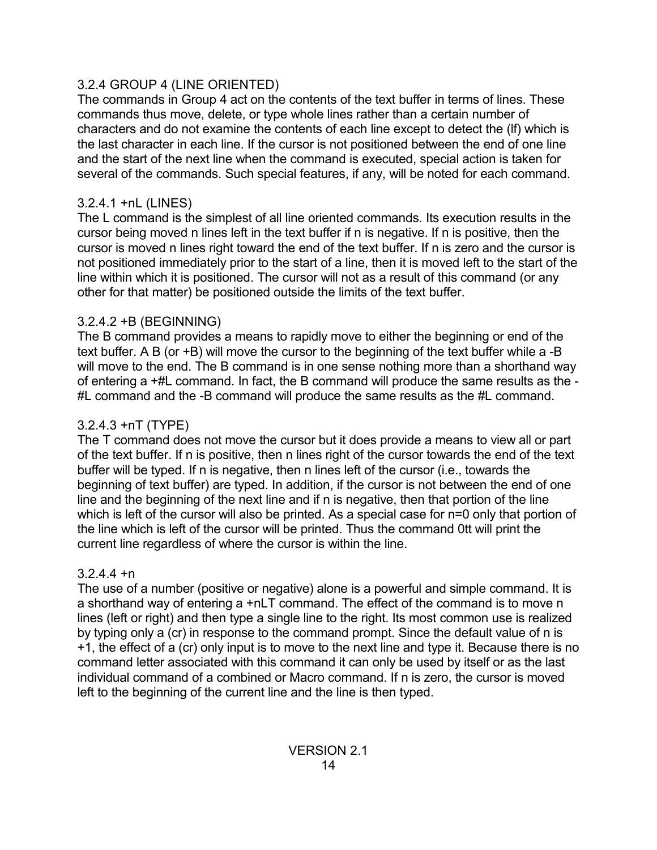## 3.2.4 GROUP 4 (LINE ORIENTED)

The commands in Group 4 act on the contents of the text buffer in terms of lines. These commands thus move, delete, or type whole lines rather than a certain number of characters and do not examine the contents of each line except to detect the (lf) which is the last character in each line. If the cursor is not positioned between the end of one line and the start of the next line when the command is executed, special action is taken for several of the commands. Such special features, if any, will be noted for each command.

# 3.2.4.1 +nL (LINES)

The L command is the simplest of all line oriented commands. Its execution results in the cursor being moved n lines left in the text buffer if n is negative. If n is positive, then the cursor is moved n lines right toward the end of the text buffer. If n is zero and the cursor is not positioned immediately prior to the start of a line, then it is moved left to the start of the line within which it is positioned. The cursor will not as a result of this command (or any other for that matter) be positioned outside the limits of the text buffer.

## 3.2.4.2 +B (BEGINNING)

The B command provides a means to rapidly move to either the beginning or end of the text buffer. A B (or +B) will move the cursor to the beginning of the text buffer while a -B will move to the end. The B command is in one sense nothing more than a shorthand way of entering a +#L command. In fact, the B command will produce the same results as the - #L command and the -B command will produce the same results as the #L command.

# 3.2.4.3 +nT (TYPE)

The T command does not move the cursor but it does provide a means to view all or part of the text buffer. If n is positive, then n lines right of the cursor towards the end of the text buffer will be typed. If n is negative, then n lines left of the cursor (i.e., towards the beginning of text buffer) are typed. In addition, if the cursor is not between the end of one line and the beginning of the next line and if n is negative, then that portion of the line which is left of the cursor will also be printed. As a special case for n=0 only that portion of the line which is left of the cursor will be printed. Thus the command 0tt will print the current line regardless of where the cursor is within the line.

# $3.2.4.4 + n$

The use of a number (positive or negative) alone is a powerful and simple command. It is a shorthand way of entering a +nLT command. The effect of the command is to move n lines (left or right) and then type a single line to the right. Its most common use is realized by typing only a (cr) in response to the command prompt. Since the default value of n is +1, the effect of a (cr) only input is to move to the next line and type it. Because there is no command letter associated with this command it can only be used by itself or as the last individual command of a combined or Macro command. If n is zero, the cursor is moved left to the beginning of the current line and the line is then typed.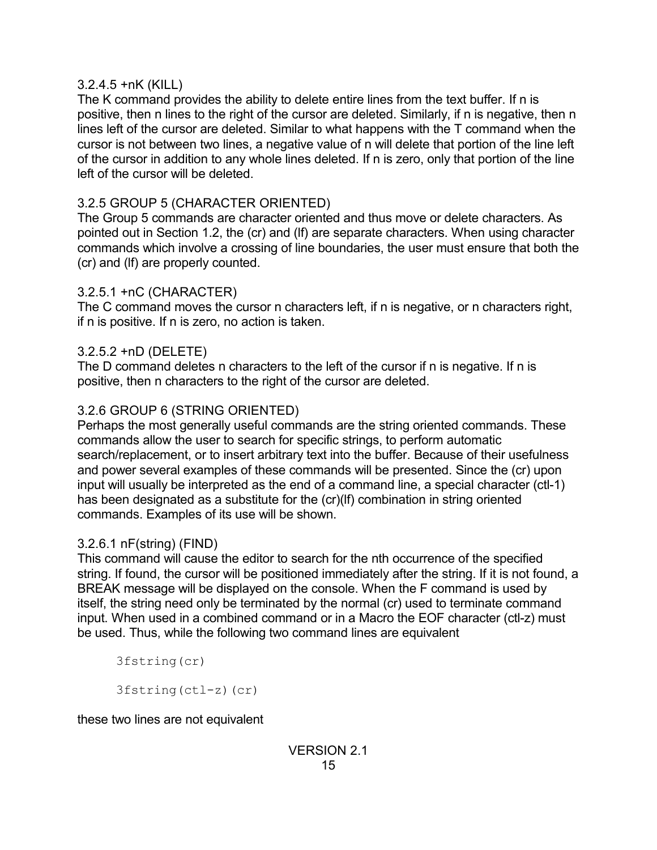### 3.2.4.5 +nK (KILL)

The K command provides the ability to delete entire lines from the text buffer. If n is positive, then n lines to the right of the cursor are deleted. Similarly, if n is negative, then n lines left of the cursor are deleted. Similar to what happens with the T command when the cursor is not between two lines, a negative value of n will delete that portion of the line left of the cursor in addition to any whole lines deleted. If n is zero, only that portion of the line left of the cursor will be deleted.

# 3.2.5 GROUP 5 (CHARACTER ORIENTED)

The Group 5 commands are character oriented and thus move or delete characters. As pointed out in Section 1.2, the (cr) and (lf) are separate characters. When using character commands which involve a crossing of line boundaries, the user must ensure that both the (cr) and (lf) are properly counted.

## 3.2.5.1 +nC (CHARACTER)

The C command moves the cursor n characters left, if n is negative, or n characters right, if n is positive. If n is zero, no action is taken.

## 3.2.5.2 +nD (DELETE)

The D command deletes n characters to the left of the cursor if n is negative. If n is positive, then n characters to the right of the cursor are deleted.

## 3.2.6 GROUP 6 (STRING ORIENTED)

Perhaps the most generally useful commands are the string oriented commands. These commands allow the user to search for specific strings, to perform automatic search/replacement, or to insert arbitrary text into the buffer. Because of their usefulness and power several examples of these commands will be presented. Since the (cr) upon input will usually be interpreted as the end of a command line, a special character (ctl-1) has been designated as a substitute for the (cr)(If) combination in string oriented commands. Examples of its use will be shown.

## 3.2.6.1 nF(string) (FIND)

This command will cause the editor to search for the nth occurrence of the specified string. If found, the cursor will be positioned immediately after the string. If it is not found, a BREAK message will be displayed on the console. When the F command is used by itself, the string need only be terminated by the normal (cr) used to terminate command input. When used in a combined command or in a Macro the EOF character (ctl-z) must be used. Thus, while the following two command lines are equivalent

3fstring(cr)

3fstring(ctl-z)(cr)

these two lines are not equivalent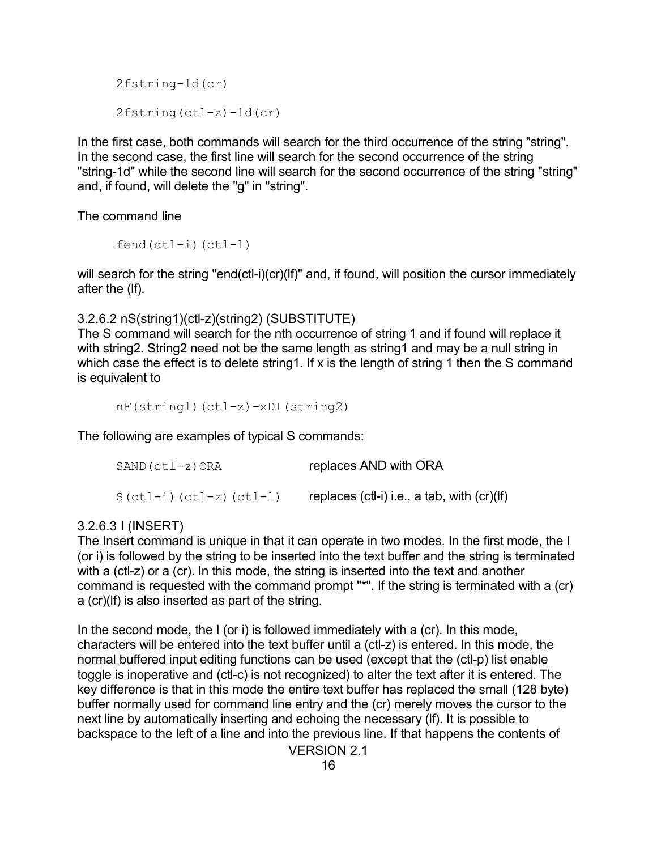```
2fstring-1d(cr)
2fstring(ctl-z)-1d(cr)
```
In the first case, both commands will search for the third occurrence of the string "string". In the second case, the first line will search for the second occurrence of the string "string-1d" while the second line will search for the second occurrence of the string "string" and, if found, will delete the "g" in "string".

The command line

fend(ctl-i)(ctl-l)

will search for the string "end(ctl-i)(cr)(lf)" and, if found, will position the cursor immediately after the (lf).

3.2.6.2 nS(string1)(ctl-z)(string2) (SUBSTITUTE)

The S command will search for the nth occurrence of string 1 and if found will replace it with string2. String2 need not be the same length as string1 and may be a null string in which case the effect is to delete string1. If x is the length of string 1 then the S command is equivalent to

```
nF(string1)(ctl-z)-xDI(string2)
```
The following are examples of typical S commands:

| SAND (ctl-z)ORA          | replaces AND with ORA                           |
|--------------------------|-------------------------------------------------|
| $S(ctl-i)(ctl-z)(ctl-l)$ | replaces $(ctI-i)$ i.e., a tab, with $(cr)(If)$ |

### 3.2.6.3 I (INSERT)

The Insert command is unique in that it can operate in two modes. In the first mode, the I (or i) is followed by the string to be inserted into the text buffer and the string is terminated with a (ctl-z) or a (cr). In this mode, the string is inserted into the text and another command is requested with the command prompt "\*". If the string is terminated with a (cr) a (cr)(lf) is also inserted as part of the string.

In the second mode, the I (or i) is followed immediately with a (cr). In this mode, characters will be entered into the text buffer until a (ctl-z) is entered. In this mode, the normal buffered input editing functions can be used (except that the (ctl-p) list enable toggle is inoperative and (ctl-c) is not recognized) to alter the text after it is entered. The key difference is that in this mode the entire text buffer has replaced the small (128 byte) buffer normally used for command line entry and the (cr) merely moves the cursor to the next line by automatically inserting and echoing the necessary (lf). It is possible to backspace to the left of a line and into the previous line. If that happens the contents of